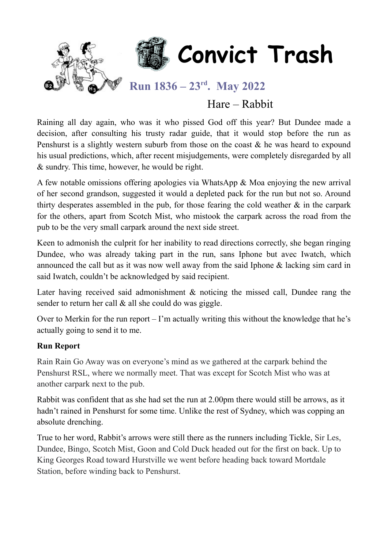

### Hare – Rabbit

Raining all day again, who was it who pissed God off this year? But Dundee made a decision, after consulting his trusty radar guide, that it would stop before the run as Penshurst is a slightly western suburb from those on the coast & he was heard to expound his usual predictions, which, after recent misjudgements, were completely disregarded by all & sundry. This time, however, he would be right.

A few notable omissions offering apologies via WhatsApp & Moa enjoying the new arrival of her second grandson, suggested it would a depleted pack for the run but not so. Around thirty desperates assembled in the pub, for those fearing the cold weather  $\&$  in the carpark for the others, apart from Scotch Mist, who mistook the carpark across the road from the pub to be the very small carpark around the next side street.

Keen to admonish the culprit for her inability to read directions correctly, she began ringing Dundee, who was already taking part in the run, sans Iphone but avec Iwatch, which announced the call but as it was now well away from the said Iphone & lacking sim card in said Iwatch, couldn't be acknowledged by said recipient.

Later having received said admonishment & noticing the missed call, Dundee rang the sender to return her call & all she could do was giggle.

Over to Merkin for the run report  $-1$ 'm actually writing this without the knowledge that he's actually going to send it to me.

#### **Run Report**

Rain Rain Go Away was on everyone's mind as we gathered at the carpark behind the Penshurst RSL, where we normally meet. That was except for Scotch Mist who was at another carpark next to the pub.

Rabbit was confident that as she had set the run at 2.00pm there would still be arrows, as it hadn't rained in Penshurst for some time. Unlike the rest of Sydney, which was copping an absolute drenching.

True to her word, Rabbit's arrows were still there as the runners including Tickle, Sir Les, Dundee, Bingo, Scotch Mist, Goon and Cold Duck headed out for the first on back. Up to King Georges Road toward Hurstville we went before heading back toward Mortdale Station, before winding back to Penshurst.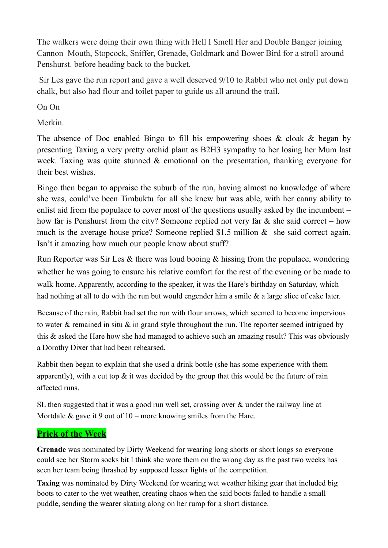The walkers were doing their own thing with Hell I Smell Her and Double Banger joining Cannon Mouth, Stopcock, Sniffer, Grenade, Goldmark and Bower Bird for a stroll around Penshurst. before heading back to the bucket.

Sir Les gave the run report and gave a well deserved 9/10 to Rabbit who not only put down chalk, but also had flour and toilet paper to guide us all around the trail.

On On

Merkin.

The absence of Doc enabled Bingo to fill his empowering shoes & cloak & began by presenting Taxing a very pretty orchid plant as B2H3 sympathy to her losing her Mum last week. Taxing was quite stunned & emotional on the presentation, thanking everyone for their best wishes.

Bingo then began to appraise the suburb of the run, having almost no knowledge of where she was, could've been Timbuktu for all she knew but was able, with her canny ability to enlist aid from the populace to cover most of the questions usually asked by the incumbent – how far is Penshurst from the city? Someone replied not very far & she said correct – how much is the average house price? Someone replied \$1.5 million & she said correct again. Isn't it amazing how much our people know about stuff?

Run Reporter was Sir Les & there was loud booing & hissing from the populace, wondering whether he was going to ensure his relative comfort for the rest of the evening or be made to walk home. Apparently, according to the speaker, it was the Hare's birthday on Saturday, which had nothing at all to do with the run but would engender him a smile & a large slice of cake later.

Because of the rain, Rabbit had set the run with flour arrows, which seemed to become impervious to water & remained in situ & in grand style throughout the run. The reporter seemed intrigued by this & asked the Hare how she had managed to achieve such an amazing result? This was obviously a Dorothy Dixer that had been rehearsed.

Rabbit then began to explain that she used a drink bottle (she has some experience with them apparently), with a cut top  $\&$  it was decided by the group that this would be the future of rain affected runs.

SL then suggested that it was a good run well set, crossing over & under the railway line at Mortdale  $\&$  gave it 9 out of 10 – more knowing smiles from the Hare.

### **Prick of the Week**

**Grenade** was nominated by Dirty Weekend for wearing long shorts or short longs so everyone could see her Storm socks bit I think she wore them on the wrong day as the past two weeks has seen her team being thrashed by supposed lesser lights of the competition.

**Taxing** was nominated by Dirty Weekend for wearing wet weather hiking gear that included big boots to cater to the wet weather, creating chaos when the said boots failed to handle a small puddle, sending the wearer skating along on her rump for a short distance.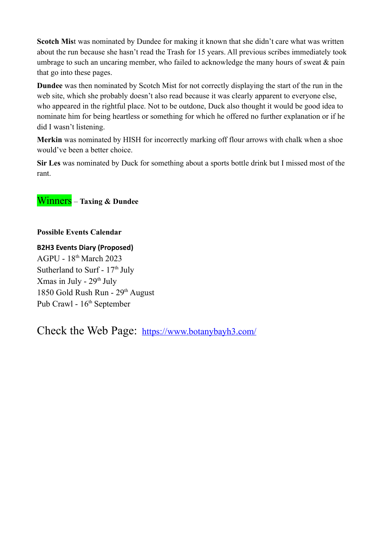**Scotch Mis**t was nominated by Dundee for making it known that she didn't care what was written about the run because she hasn't read the Trash for 15 years. All previous scribes immediately took umbrage to such an uncaring member, who failed to acknowledge the many hours of sweat & pain that go into these pages.

**Dundee** was then nominated by Scotch Mist for not correctly displaying the start of the run in the web site, which she probably doesn't also read because it was clearly apparent to everyone else, who appeared in the rightful place. Not to be outdone, Duck also thought it would be good idea to nominate him for being heartless or something for which he offered no further explanation or if he did I wasn't listening.

**Merkin** was nominated by HISH for incorrectly marking off flour arrows with chalk when a shoe would've been a better choice.

**Sir Les** was nominated by Duck for something about a sports bottle drink but I missed most of the rant.

### Winners – **Taxing & Dundee**

#### **Possible Events Calendar**

**B2H3 Events Diary (Proposed)** AGPU - 18th March 2023 Sutherland to Surf -  $17<sup>th</sup>$  July Xmas in July -  $29<sup>th</sup>$  July 1850 Gold Rush Run - 29<sup>th</sup> August Pub Crawl - 16<sup>th</sup> September

Check the Web Page: <https://www.botanybayh3.com/>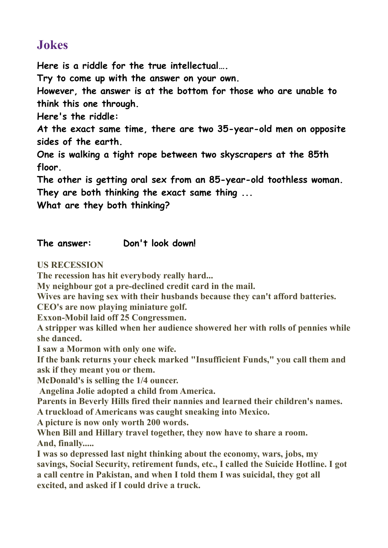### **Jokes**

**Here is a riddle for the true intellectual….**

**Try to come up with the answer on your own.**

**However, the answer is at the bottom for those who are unable to think this one through.**

**Here's the riddle:**

**At the exact same time, there are two 35-year-old men on opposite sides of the earth.**

**One is walking a tight rope between two skyscrapers at the 85th floor.**

**The other is getting oral sex from an 85-year-old toothless woman.**

**They are both thinking the exact same thing ...**

**What are they both thinking?**

### **The answer: Don't look down!**

**US RECESSION**

**The recession has hit everybody really hard...**

**My neighbour got a pre-declined credit card in the mail.** 

**Wives are having sex with their husbands because they can't afford batteries.**

**CEO's are now playing miniature golf.**

**Exxon-Mobil laid off 25 Congressmen.**

**A stripper was killed when her audience showered her with rolls of pennies while she danced.** 

**I saw a Mormon with only one wife.**

**If the bank returns your check marked "Insufficient Funds," you call them and ask if they meant you or them.**

**McDonald's is selling the 1/4 ouncer.**

**Angelina Jolie adopted a child from America.**

**Parents in Beverly Hills fired their nannies and learned their children's names.**

**A truckload of Americans was caught sneaking into Mexico.**

**A picture is now only worth 200 words.** 

**When Bill and Hillary travel together, they now have to share a room. And, finally.....**

**I was so depressed last night thinking about the economy, wars, jobs, my savings, Social Security, retirement funds, etc., I called the Suicide Hotline. I got a call centre in Pakistan, and when I told them I was suicidal, they got all excited, and asked if I could drive a truck.**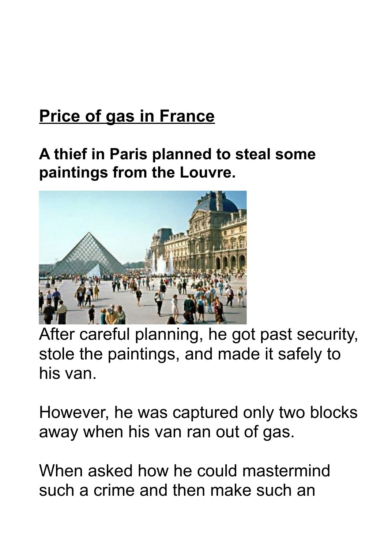### **Price of gas in France**

### **A thief in Paris planned to steal some paintings from the Louvre.**



After careful planning, he got past security, stole the paintings, and made it safely to his van.

However, he was captured only two blocks away when his van ran out of gas.

When asked how he could mastermind such a crime and then make such an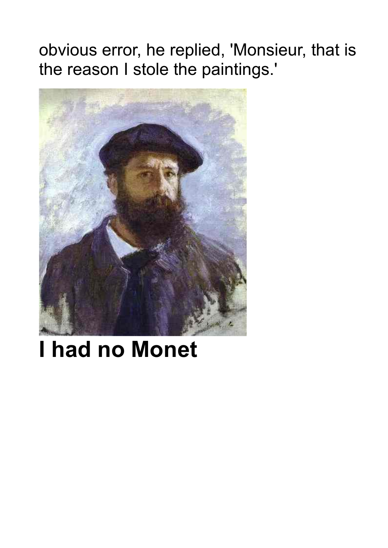obvious error, he replied, 'Monsieur, that is the reason I stole the paintings.'



## **I had no Monet**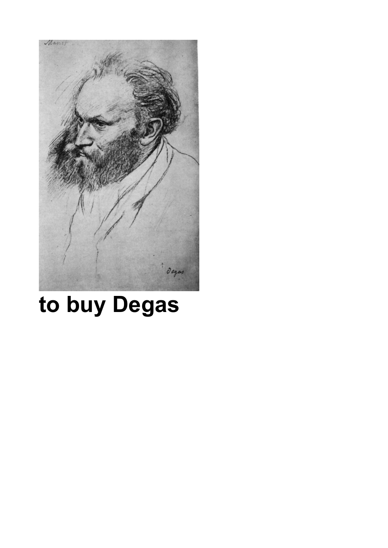

# **to buy Degas**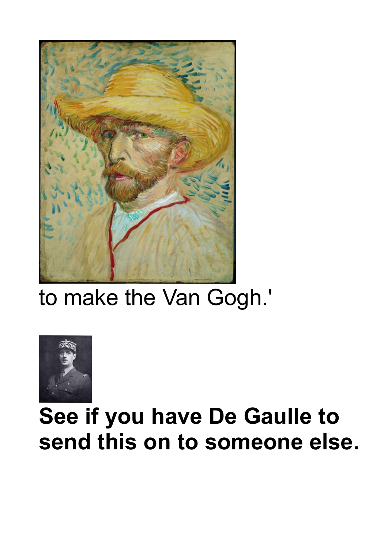

## to make the Van Gogh.'



## **See if you have De Gaulle to send this on to someone else.**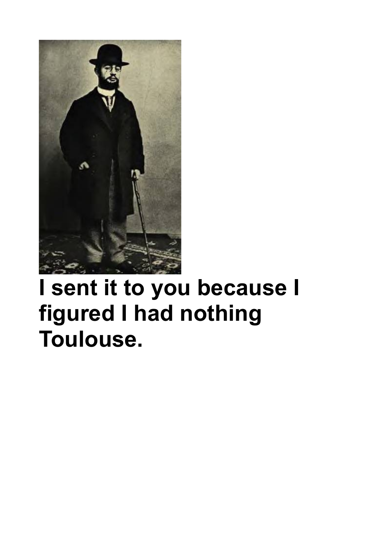

## **I sent it to you because I figured I had nothing Toulouse.**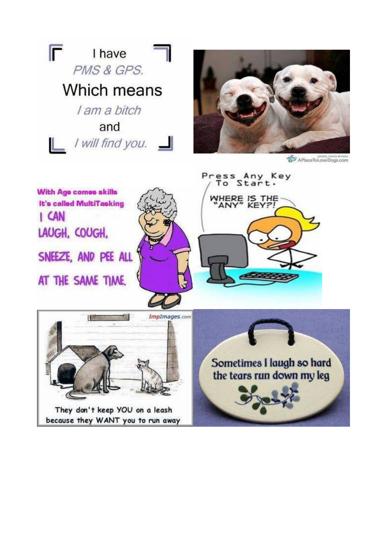



photos, stories & more<br>A Place To Love Dogs.com

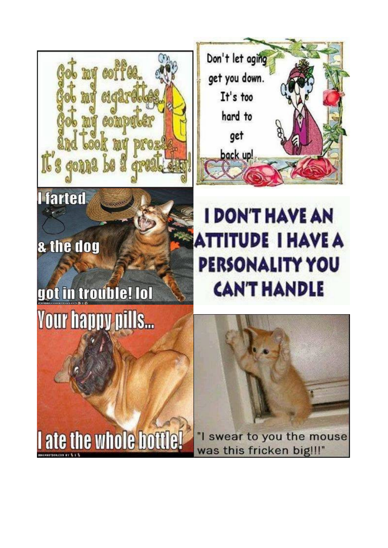



## & the dog

## got in trouble! Iol **Your happy pills...**

### **I DON'T HAVE AN ATTITUDE I HAVE A PERSONALITY YOU CAN'T HANDLE**

I ate the whole bottle!

"I swear to you the mouse was this fricken big !!!"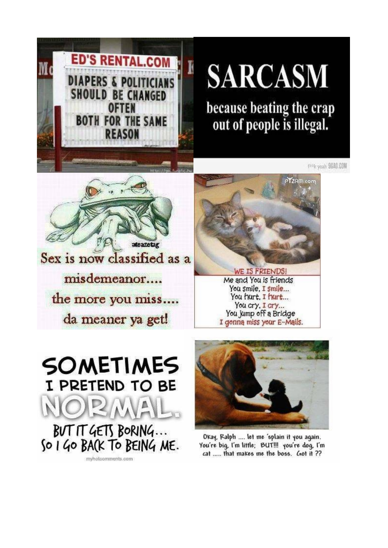

# **SARCASM**

because beating the crap out of people is illegal.

FAME youth 96AG.COM



misdemeanor.... the more you miss.... da meaner ya get!



WE IS FRIENDS! Me and You is friends You smile, I smile... You hurt. I hurt... You cry, I cry... You jump off a Bridge I genna miss your E-Mails.

**SOMETIMES** I PRETEND TO BE **BUT IT GETS BORING...** SO I GO BACK TO BEING ME. mybolcomments con



Okay, Ralph .... let me 'splain it you again. You're big, I'm little; BUT!!! you're dog, I'm cat ..... that makes me the boss. Got it ??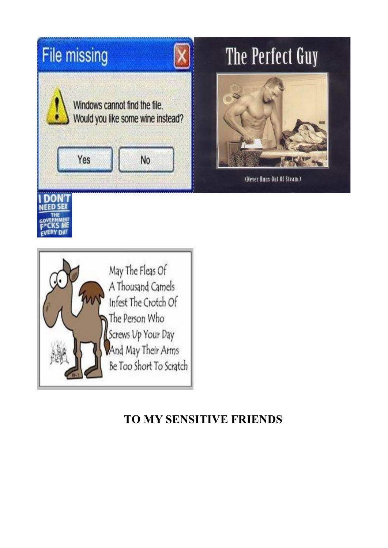

### **TO MY SENSITIVE FRIENDS**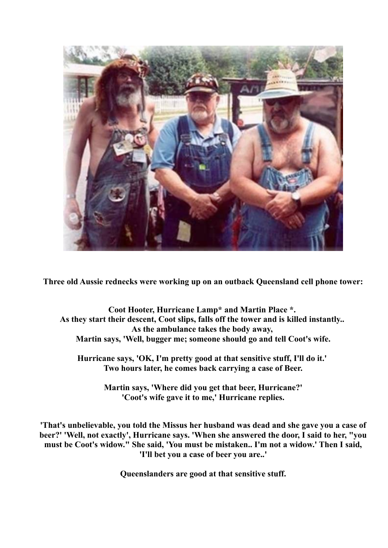

**Three old Aussie rednecks were working up on an outback Queensland cell phone tower:**

**Coot Hooter, Hurricane Lamp\* and Martin Place \*. As they start their descent, Coot slips, falls off the tower and is killed instantly.. As the ambulance takes the body away, Martin says, 'Well, bugger me; someone should go and tell Coot's wife.**

**Hurricane says, 'OK, I'm pretty good at that sensitive stuff, I'll do it.' Two hours later, he comes back carrying a case of Beer.**

> **Martin says, 'Where did you get that beer, Hurricane?' 'Coot's wife gave it to me,' Hurricane replies.**

**'That's unbelievable, you told the Missus her husband was dead and she gave you a case of beer?' 'Well, not exactly', Hurricane says. 'When she answered the door, I said to her, "you must be Coot's widow." She said, 'You must be mistaken.. I'm not a widow.' Then I said, 'I'll bet you a case of beer you are..'**

**Queenslanders are good at that sensitive stuff.**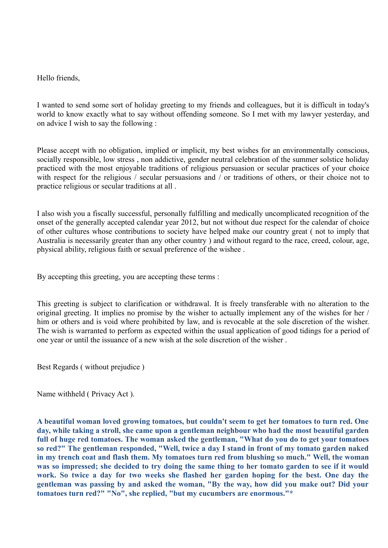#### Hello friends,

I wanted to send some sort of holiday greeting to my friends and colleagues, but it is difficult in today's world to know exactly what to say without offending someone. So I met with my lawyer yesterday, and on advice I wish to say the following :

Please accept with no obligation, implied or implicit, my best wishes for an environmentally conscious, socially responsible, low stress , non addictive, gender neutral celebration of the summer solstice holiday practiced with the most enjoyable traditions of religious persuasion or secular practices of your choice with respect for the religious / secular persuasions and / or traditions of others, or their choice not to practice religious or secular traditions at all .

I also wish you a fiscally successful, personally fulfilling and medically uncomplicated recognition of the onset of the generally accepted calendar year 2012, but not without due respect for the calendar of choice of other cultures whose contributions to society have helped make our country great ( not to imply that Australia is necessarily greater than any other country ) and without regard to the race, creed, colour, age, physical ability, religious faith or sexual preference of the wishee .

By accepting this greeting, you are accepting these terms :

This greeting is subject to clarification or withdrawal. It is freely transferable with no alteration to the original greeting. It implies no promise by the wisher to actually implement any of the wishes for her / him or others and is void where prohibited by law, and is revocable at the sole discretion of the wisher. The wish is warranted to perform as expected within the usual application of good tidings for a period of one year or until the issuance of a new wish at the sole discretion of the wisher .

Best Regards ( without prejudice )

Name withheld ( Privacy Act ).

**A beautiful woman loved growing tomatoes, but couldn't seem to get her tomatoes to turn red. One day, while taking a stroll, she came upon a gentleman neighbour who had the most beautiful garden full of huge red tomatoes. The woman asked the gentleman, "What do you do to get your tomatoes so red?" The gentleman responded, "Well, twice a day I stand in front of my tomato garden naked in my trench coat and flash them. My tomatoes turn red from blushing so much." Well, the woman was so impressed; she decided to try doing the same thing to her tomato garden to see if it would work. So twice a day for two weeks she flashed her garden hoping for the best. One day the gentleman was passing by and asked the woman, "By the way, how did you make out? Did your tomatoes turn red?" "No", she replied, "but my cucumbers are enormous."\***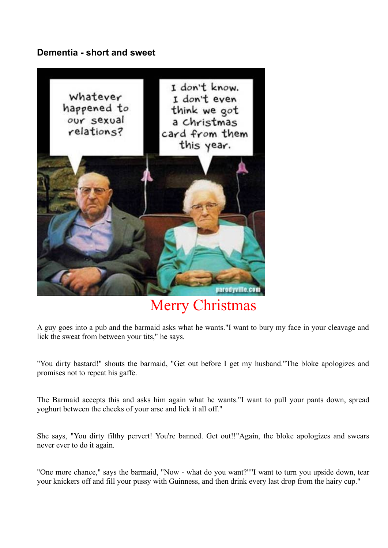#### **Dementia - short and sweet**



### Merry Christmas

A guy goes into a pub and the barmaid asks what he wants."I want to bury my face in your cleavage and lick the sweat from between your tits," he says.

"You dirty bastard!" shouts the barmaid, "Get out before I get my husband."The bloke apologizes and promises not to repeat his gaffe.

The Barmaid accepts this and asks him again what he wants."I want to pull your pants down, spread yoghurt between the cheeks of your arse and lick it all off."

She says, "You dirty filthy pervert! You're banned. Get out!!"Again, the bloke apologizes and swears never ever to do it again.

"One more chance," says the barmaid, "Now - what do you want?""I want to turn you upside down, tear your knickers off and fill your pussy with Guinness, and then drink every last drop from the hairy cup."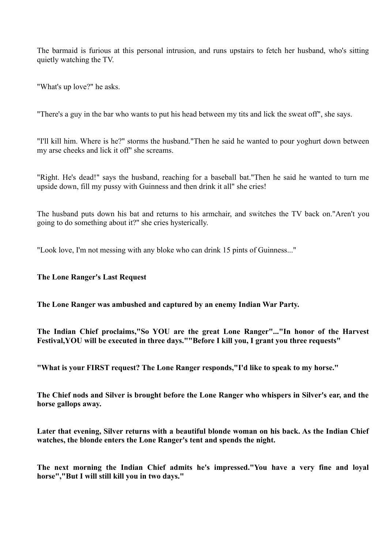The barmaid is furious at this personal intrusion, and runs upstairs to fetch her husband, who's sitting quietly watching the TV.

"What's up love?" he asks.

"There's a guy in the bar who wants to put his head between my tits and lick the sweat off", she says.

"I'll kill him. Where is he?" storms the husband."Then he said he wanted to pour yoghurt down between my arse cheeks and lick it off" she screams.

"Right. He's dead!" says the husband, reaching for a baseball bat."Then he said he wanted to turn me upside down, fill my pussy with Guinness and then drink it all" she cries!

The husband puts down his bat and returns to his armchair, and switches the TV back on."Aren't you going to do something about it?" she cries hysterically.

"Look love, I'm not messing with any bloke who can drink 15 pints of Guinness..."

#### **The Lone Ranger's Last Request**

#### **The Lone Ranger was ambushed and captured by an enemy Indian War Party.**

**The Indian Chief proclaims,"So YOU are the great Lone Ranger"..."In honor of the Harvest Festival,YOU will be executed in three days.""Before I kill you, I grant you three requests"**

**"What is your FIRST request? The Lone Ranger responds,"I'd like to speak to my horse."**

**The Chief nods and Silver is brought before the Lone Ranger who whispers in Silver's ear, and the horse gallops away.**

**Later that evening, Silver returns with a beautiful blonde woman on his back. As the Indian Chief watches, the blonde enters the Lone Ranger's tent and spends the night.**

**The next morning the Indian Chief admits he's impressed."You have a very fine and loyal horse","But I will still kill you in two days."**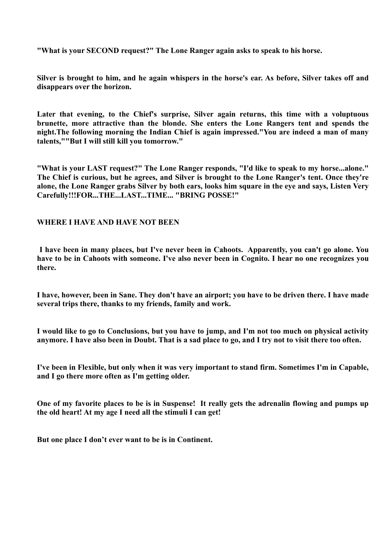**"What is your SECOND request?" The Lone Ranger again asks to speak to his horse.**

**Silver is brought to him, and he again whispers in the horse's ear. As before, Silver takes off and disappears over the horizon.**

**Later that evening, to the Chief's surprise, Silver again returns, this time with a voluptuous brunette, more attractive than the blonde. She enters the Lone Rangers tent and spends the night.The following morning the Indian Chief is again impressed."You are indeed a man of many talents,""But I will still kill you tomorrow."**

**"What is your LAST request?" The Lone Ranger responds, "I'd like to speak to my horse...alone." The Chief is curious, but he agrees, and Silver is brought to the Lone Ranger's tent. Once they're alone, the Lone Ranger grabs Silver by both ears, looks him square in the eye and says, Listen Very Carefully!!!FOR...THE...LAST...TIME... "BRING POSSE!"**

#### **WHERE I HAVE AND HAVE NOT BEEN**

 **I have been in many places, but I've never been in Cahoots. Apparently, you can't go alone. You have to be in Cahoots with someone. I've also never been in Cognito. I hear no one recognizes you there.** 

**I have, however, been in Sane. They don't have an airport; you have to be driven there. I have made several trips there, thanks to my friends, family and work.**

**I would like to go to Conclusions, but you have to jump, and I'm not too much on physical activity anymore. I have also been in Doubt. That is a sad place to go, and I try not to visit there too often.** 

**I've been in Flexible, but only when it was very important to stand firm. Sometimes I'm in Capable, and I go there more often as I'm getting older.** 

**One of my favorite places to be is in Suspense! It really gets the adrenalin flowing and pumps up the old heart! At my age I need all the stimuli I can get!**

**But one place I don't ever want to be is in Continent.**